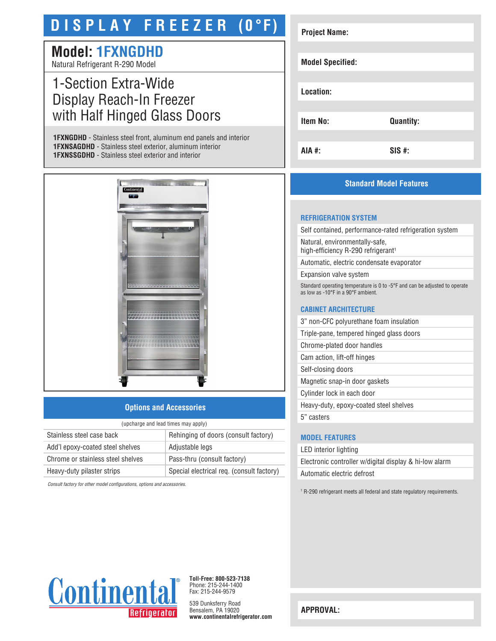# **D I S P L A Y F R E E Z E R (0°F)**

## **Model: 1FXNGDHD**

Natural Refrigerant R-290 Model

### 1-Section Extra-Wide Display Reach-In Freezer with Half Hinged Glass Doors

**1FXNGDHD** - Stainless steel front, aluminum end panels and interior **1FXNSAGDHD** - Stainless steel exterior, aluminum interior **1FXNSSGDHD** - Stainless steel exterior and interior



#### **Options and Accessories**

| (upcharge and lead times may apply) |                                           |  |
|-------------------------------------|-------------------------------------------|--|
| Stainless steel case back           | Rehinging of doors (consult factory)      |  |
| Add'l epoxy-coated steel shelves    | Adjustable legs                           |  |
| Chrome or stainless steel shelves   | Pass-thru (consult factory)               |  |
| Heavy-duty pilaster strips          | Special electrical req. (consult factory) |  |

*Consult factory for other model configurations, options and accessories.*

| <b>Project Name:</b>    |                  |
|-------------------------|------------------|
|                         |                  |
| <b>Model Specified:</b> |                  |
|                         |                  |
| Location:               |                  |
|                         |                  |
| <b>Item No:</b>         | <b>Quantity:</b> |
|                         |                  |
| AIA #:                  | $SIS$ #:         |

#### **Standard Model Features**

#### **REFRIGERATION SYSTEM**

Self contained, performance-rated refrigeration system

Natural, environmentally-safe, high-efficiency R-290 refrigerant<sup>1</sup>

Automatic, electric condensate evaporator

Expansion valve system

Standard operating temperature is 0 to -5°F and can be adjusted to operate as low as -10°F in a 90°F ambient.

#### **CABINET ARCHITECTURE**

3" non-CFC polyurethane foam insulation

Triple-pane, tempered hinged glass doors

Chrome-plated door handles

Cam action, lift-off hinges

Self-closing doors

Magnetic snap-in door gaskets

Cylinder lock in each door

Heavy-duty, epoxy-coated steel shelves

5" casters

#### **MODEL FEATURES**

LED interior lighting Electronic controller w/digital display & hi-low alarm Automatic electric defrost

<sup>1</sup> R-290 refrigerant meets all federal and state regulatory requirements.



**Toll-Free: 800-523-7138** Phone: 215-244-1400 Fax: 215-244-9579

539 Dunksferry Road Bensalem, PA 19020 **www.continentalrefrigerator.com** 

**APPROVAL:**